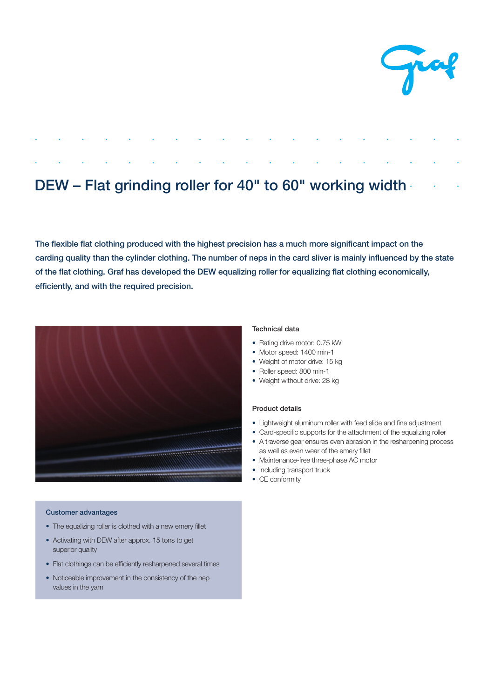

## DEW – Flat grinding roller for 40" to 60" working width

The flexible flat clothing produced with the highest precision has a much more significant impact on the carding quality than the cylinder clothing. The number of neps in the card sliver is mainly influenced by the state of the flat clothing. Graf has developed the DEW equalizing roller for equalizing flat clothing economically, efficiently, and with the required precision.



### Technical data

- Rating drive motor: 0.75 kW • Motor speed: 1400 min-1
- Weight of motor drive: 15 kg
- Roller speed: 800 min-1
- Weight without drive: 28 kg

#### Product details

- Lightweight aluminum roller with feed slide and fine adjustment
- Card-specific supports for the attachment of the equalizing roller
- A traverse gear ensures even abrasion in the resharpening process as well as even wear of the emery fillet
- Maintenance-free three-phase AC motor
- Including transport truck
- $\bullet$  CE conformity

#### Customer advantages

- The equalizing roller is clothed with a new emery fillet
- Activating with DEW after approx. 15 tons to get superior quality
- Flat clothings can be efficiently resharpened several times
- Noticeable improvement in the consistency of the nep values in the yarn